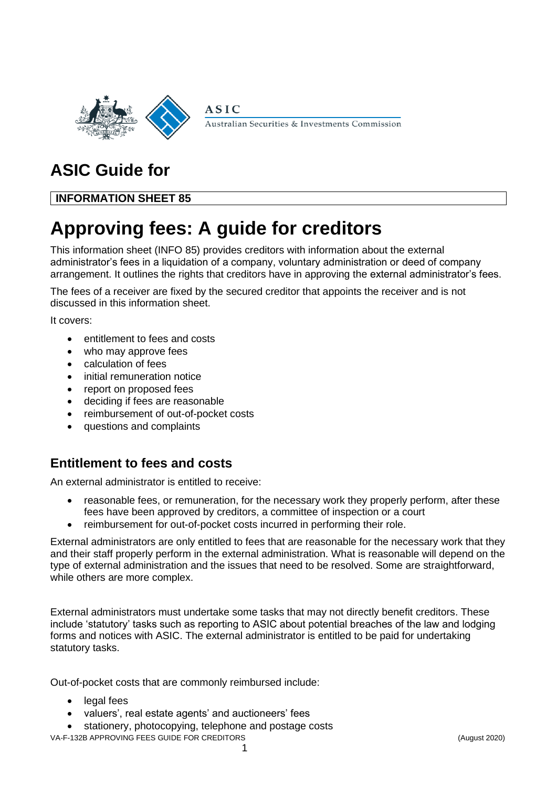

Australian Securities & Investments Commission

# **ASIC Guide for**

## **INFORMATION SHEET 85**

# **Approving fees: A guide for creditors**

**ASIC** 

This information sheet (INFO 85) provides creditors with information about the external administrator's fees in a liquidation of a company, voluntary administration or deed of company arrangement. It outlines the rights that creditors have in approving the external administrator's fees.

The fees of a receiver are fixed by the secured creditor that appoints the receiver and is not discussed in this information sheet.

It covers:

- entitlement to fees and costs
- who may approve fees
- calculation of fees
- initial remuneration notice
- report on proposed fees
- deciding if fees are reasonable
- reimbursement of out-of-pocket costs
- questions and complaints

# **Entitlement to fees and costs**

An external administrator is entitled to receive:

- reasonable fees, or remuneration, for the necessary work they properly perform, after these fees have been approved by creditors, a committee of inspection or a court
- reimbursement for out-of-pocket costs incurred in performing their role.

External administrators are only entitled to fees that are reasonable for the necessary work that they and their staff properly perform in the external administration. What is reasonable will depend on the type of external administration and the issues that need to be resolved. Some are straightforward, while others are more complex.

External administrators must undertake some tasks that may not directly benefit creditors. These include 'statutory' tasks such as reporting to ASIC about potential breaches of the law and lodging forms and notices with ASIC. The external administrator is entitled to be paid for undertaking statutory tasks.

Out-of-pocket costs that are commonly reimbursed include:

- legal fees
- valuers', real estate agents' and auctioneers' fees
- stationery, photocopying, telephone and postage costs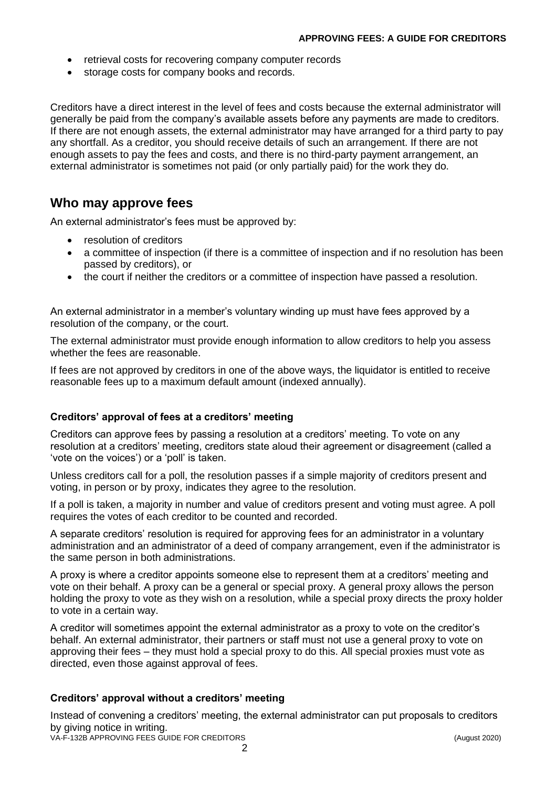- retrieval costs for recovering company computer records
- storage costs for company books and records.

Creditors have a direct interest in the level of fees and costs because the external administrator will generally be paid from the company's available assets before any payments are made to creditors. If there are not enough assets, the external administrator may have arranged for a third party to pay any shortfall. As a creditor, you should receive details of such an arrangement. If there are not enough assets to pay the fees and costs, and there is no third-party payment arrangement, an external administrator is sometimes not paid (or only partially paid) for the work they do.

### **Who may approve fees**

An external administrator's fees must be approved by:

- resolution of creditors
- a committee of inspection (if there is a committee of inspection and if no resolution has been passed by creditors), or
- the court if neither the creditors or a committee of inspection have passed a resolution.

An external administrator in a member's voluntary winding up must have fees approved by a resolution of the company, or the court.

The external administrator must provide enough information to allow creditors to help you assess whether the fees are reasonable.

If fees are not approved by creditors in one of the above ways, the liquidator is entitled to receive reasonable fees up to a maximum default amount (indexed annually).

#### **Creditors' approval of fees at a creditors' meeting**

Creditors can approve fees by passing a resolution at a creditors' meeting. To vote on any resolution at a creditors' meeting, creditors state aloud their agreement or disagreement (called a 'vote on the voices') or a 'poll' is taken.

Unless creditors call for a poll, the resolution passes if a simple majority of creditors present and voting, in person or by proxy, indicates they agree to the resolution.

If a poll is taken, a majority in number and value of creditors present and voting must agree. A poll requires the votes of each creditor to be counted and recorded.

A separate creditors' resolution is required for approving fees for an administrator in a voluntary administration and an administrator of a deed of company arrangement, even if the administrator is the same person in both administrations.

A proxy is where a creditor appoints someone else to represent them at a creditors' meeting and vote on their behalf. A proxy can be a general or special proxy. A general proxy allows the person holding the proxy to vote as they wish on a resolution, while a special proxy directs the proxy holder to vote in a certain way.

A creditor will sometimes appoint the external administrator as a proxy to vote on the creditor's behalf. An external administrator, their partners or staff must not use a general proxy to vote on approving their fees – they must hold a special proxy to do this. All special proxies must vote as directed, even those against approval of fees.

#### **Creditors' approval without a creditors' meeting**

Instead of convening a creditors' meeting, the external administrator can put proposals to creditors by giving notice in writing.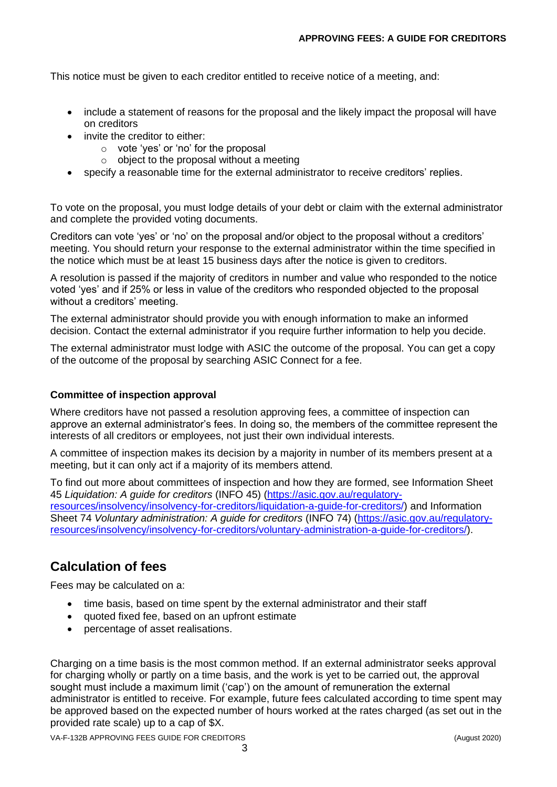This notice must be given to each creditor entitled to receive notice of a meeting, and:

- include a statement of reasons for the proposal and the likely impact the proposal will have on creditors
- invite the creditor to either:
	- o vote 'yes' or 'no' for the proposal
	- $\circ$  object to the proposal without a meeting
- specify a reasonable time for the external administrator to receive creditors' replies.

To vote on the proposal, you must lodge details of your debt or claim with the external administrator and complete the provided voting documents.

Creditors can vote 'yes' or 'no' on the proposal and/or object to the proposal without a creditors' meeting. You should return your response to the external administrator within the time specified in the notice which must be at least 15 business days after the notice is given to creditors.

A resolution is passed if the majority of creditors in number and value who responded to the notice voted 'yes' and if 25% or less in value of the creditors who responded objected to the proposal without a creditors' meeting.

The external administrator should provide you with enough information to make an informed decision. Contact the external administrator if you require further information to help you decide.

The external administrator must lodge with ASIC the outcome of the proposal. You can get a copy of the outcome of the proposal by searching ASIC Connect for a fee.

#### **Committee of inspection approval**

Where creditors have not passed a resolution approving fees, a committee of inspection can approve an external administrator's fees. In doing so, the members of the committee represent the interests of all creditors or employees, not just their own individual interests.

A committee of inspection makes its decision by a majority in number of its members present at a meeting, but it can only act if a majority of its members attend.

To find out more about committees of inspection and how they are formed, see Information Sheet 45 *Liquidation: A guide for creditors* (INFO 45) [\(https://asic.gov.au/regulatory](https://asic.gov.au/regulatory-resources/insolvency/insolvency-for-creditors/liquidation-a-guide-for-creditors/)[resources/insolvency/insolvency-for-creditors/liquidation-a-guide-for-creditors/\)](https://asic.gov.au/regulatory-resources/insolvency/insolvency-for-creditors/liquidation-a-guide-for-creditors/) and Information Sheet 74 *Voluntary administration: A guide for creditors* (INFO 74) [\(https://asic.gov.au/regulatory](https://asic.gov.au/regulatory-resources/insolvency/insolvency-for-creditors/voluntary-administration-a-guide-for-creditors/)[resources/insolvency/insolvency-for-creditors/voluntary-administration-a-guide-for-creditors/\)](https://asic.gov.au/regulatory-resources/insolvency/insolvency-for-creditors/voluntary-administration-a-guide-for-creditors/).

# **Calculation of fees**

Fees may be calculated on a:

- time basis, based on time spent by the external administrator and their staff
- quoted fixed fee, based on an upfront estimate
- percentage of asset realisations.

Charging on a time basis is the most common method. If an external administrator seeks approval for charging wholly or partly on a time basis, and the work is yet to be carried out, the approval sought must include a maximum limit ('cap') on the amount of remuneration the external administrator is entitled to receive. For example, future fees calculated according to time spent may be approved based on the expected number of hours worked at the rates charged (as set out in the provided rate scale) up to a cap of \$X.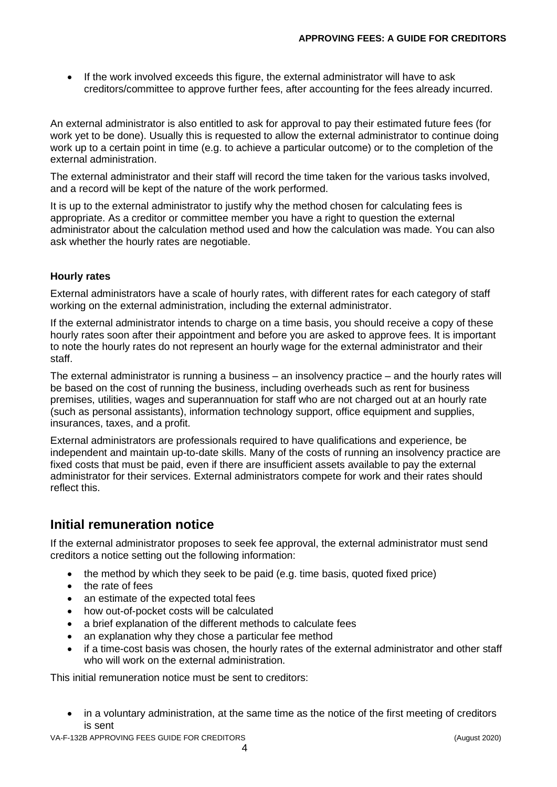• If the work involved exceeds this figure, the external administrator will have to ask creditors/committee to approve further fees, after accounting for the fees already incurred.

An external administrator is also entitled to ask for approval to pay their estimated future fees (for work yet to be done). Usually this is requested to allow the external administrator to continue doing work up to a certain point in time (e.g. to achieve a particular outcome) or to the completion of the external administration.

The external administrator and their staff will record the time taken for the various tasks involved, and a record will be kept of the nature of the work performed.

It is up to the external administrator to justify why the method chosen for calculating fees is appropriate. As a creditor or committee member you have a right to question the external administrator about the calculation method used and how the calculation was made. You can also ask whether the hourly rates are negotiable.

#### **Hourly rates**

External administrators have a scale of hourly rates, with different rates for each category of staff working on the external administration, including the external administrator.

If the external administrator intends to charge on a time basis, you should receive a copy of these hourly rates soon after their appointment and before you are asked to approve fees. It is important to note the hourly rates do not represent an hourly wage for the external administrator and their staff.

The external administrator is running a business – an insolvency practice – and the hourly rates will be based on the cost of running the business, including overheads such as rent for business premises, utilities, wages and superannuation for staff who are not charged out at an hourly rate (such as personal assistants), information technology support, office equipment and supplies, insurances, taxes, and a profit.

External administrators are professionals required to have qualifications and experience, be independent and maintain up-to-date skills. Many of the costs of running an insolvency practice are fixed costs that must be paid, even if there are insufficient assets available to pay the external administrator for their services. External administrators compete for work and their rates should reflect this.

## **Initial remuneration notice**

If the external administrator proposes to seek fee approval, the external administrator must send creditors a notice setting out the following information:

- the method by which they seek to be paid (e.g. time basis, quoted fixed price)
- the rate of fees
- an estimate of the expected total fees
- how out-of-pocket costs will be calculated
- a brief explanation of the different methods to calculate fees
- an explanation why they chose a particular fee method
- if a time-cost basis was chosen, the hourly rates of the external administrator and other staff who will work on the external administration.

This initial remuneration notice must be sent to creditors:

• in a voluntary administration, at the same time as the notice of the first meeting of creditors is sent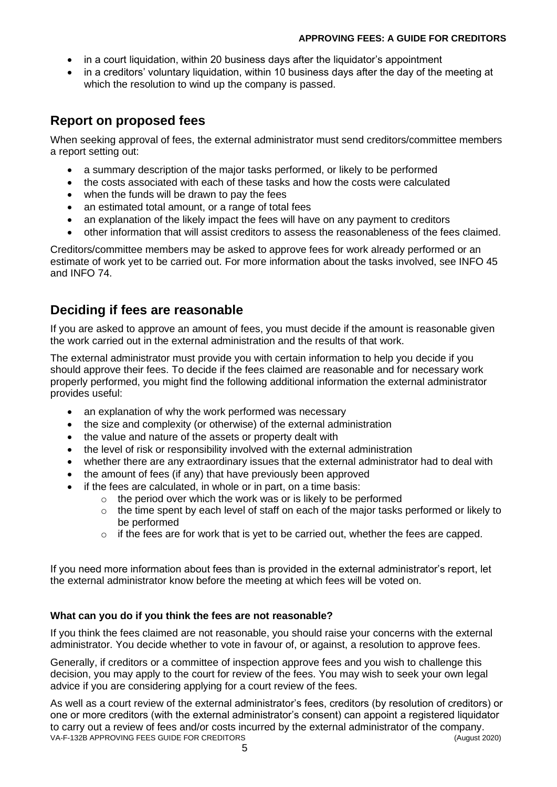#### **APPROVING FEES: A GUIDE FOR CREDITORS**

- in a court liquidation, within 20 business days after the liquidator's appointment
- in a creditors' voluntary liquidation, within 10 business days after the day of the meeting at which the resolution to wind up the company is passed.

# **Report on proposed fees**

When seeking approval of fees, the external administrator must send creditors/committee members a report setting out:

- a summary description of the major tasks performed, or likely to be performed
- the costs associated with each of these tasks and how the costs were calculated
- when the funds will be drawn to pay the fees
- an estimated total amount, or a range of total fees
- an explanation of the likely impact the fees will have on any payment to creditors
- other information that will assist creditors to assess the reasonableness of the fees claimed.

Creditors/committee members may be asked to approve fees for work already performed or an estimate of work yet to be carried out. For more information about the tasks involved, see INFO 45 and INFO 74.

# **Deciding if fees are reasonable**

If you are asked to approve an amount of fees, you must decide if the amount is reasonable given the work carried out in the external administration and the results of that work.

The external administrator must provide you with certain information to help you decide if you should approve their fees. To decide if the fees claimed are reasonable and for necessary work properly performed, you might find the following additional information the external administrator provides useful:

- an explanation of why the work performed was necessary
- the size and complexity (or otherwise) of the external administration
- the value and nature of the assets or property dealt with
- the level of risk or responsibility involved with the external administration
- whether there are any extraordinary issues that the external administrator had to deal with
- the amount of fees (if any) that have previously been approved
- if the fees are calculated, in whole or in part, on a time basis:
	- $\circ$  the period over which the work was or is likely to be performed
		- $\circ$  the time spent by each level of staff on each of the major tasks performed or likely to be performed
		- o if the fees are for work that is yet to be carried out, whether the fees are capped.

If you need more information about fees than is provided in the external administrator's report, let the external administrator know before the meeting at which fees will be voted on.

### **What can you do if you think the fees are not reasonable?**

If you think the fees claimed are not reasonable, you should raise your concerns with the external administrator. You decide whether to vote in favour of, or against, a resolution to approve fees.

Generally, if creditors or a committee of inspection approve fees and you wish to challenge this decision, you may apply to the court for review of the fees. You may wish to seek your own legal advice if you are considering applying for a court review of the fees.

VA-F-132B APPROVING FEES GUIDE FOR CREDITORS (August 2020) As well as a court review of the external administrator's fees, creditors (by resolution of creditors) or one or more creditors (with the external administrator's consent) can appoint a registered liquidator to carry out a review of fees and/or costs incurred by the external administrator of the company.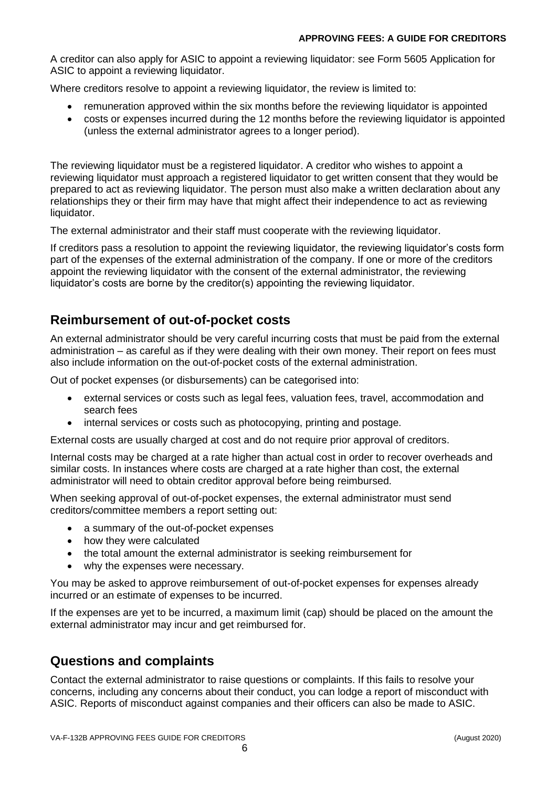A creditor can also apply for ASIC to appoint a reviewing liquidator: see Form 5605 Application for ASIC to appoint a reviewing liquidator.

Where creditors resolve to appoint a reviewing liquidator, the review is limited to:

- remuneration approved within the six months before the reviewing liquidator is appointed
- costs or expenses incurred during the 12 months before the reviewing liquidator is appointed (unless the external administrator agrees to a longer period).

The reviewing liquidator must be a registered liquidator. A creditor who wishes to appoint a reviewing liquidator must approach a registered liquidator to get written consent that they would be prepared to act as reviewing liquidator. The person must also make a written declaration about any relationships they or their firm may have that might affect their independence to act as reviewing liquidator.

The external administrator and their staff must cooperate with the reviewing liquidator.

If creditors pass a resolution to appoint the reviewing liquidator, the reviewing liquidator's costs form part of the expenses of the external administration of the company. If one or more of the creditors appoint the reviewing liquidator with the consent of the external administrator, the reviewing liquidator's costs are borne by the creditor(s) appointing the reviewing liquidator.

## **Reimbursement of out-of-pocket costs**

An external administrator should be very careful incurring costs that must be paid from the external administration – as careful as if they were dealing with their own money. Their report on fees must also include information on the out-of-pocket costs of the external administration.

Out of pocket expenses (or disbursements) can be categorised into:

- external services or costs such as legal fees, valuation fees, travel, accommodation and search fees
- internal services or costs such as photocopying, printing and postage.

External costs are usually charged at cost and do not require prior approval of creditors.

Internal costs may be charged at a rate higher than actual cost in order to recover overheads and similar costs. In instances where costs are charged at a rate higher than cost, the external administrator will need to obtain creditor approval before being reimbursed.

When seeking approval of out-of-pocket expenses, the external administrator must send creditors/committee members a report setting out:

- a summary of the out-of-pocket expenses
- how they were calculated
- the total amount the external administrator is seeking reimbursement for
- why the expenses were necessary.

You may be asked to approve reimbursement of out-of-pocket expenses for expenses already incurred or an estimate of expenses to be incurred.

If the expenses are yet to be incurred, a maximum limit (cap) should be placed on the amount the external administrator may incur and get reimbursed for.

## **Questions and complaints**

Contact the external administrator to raise questions or complaints. If this fails to resolve your concerns, including any concerns about their conduct, you can lodge a report of misconduct with ASIC. Reports of misconduct against companies and their officers can also be made to ASIC.